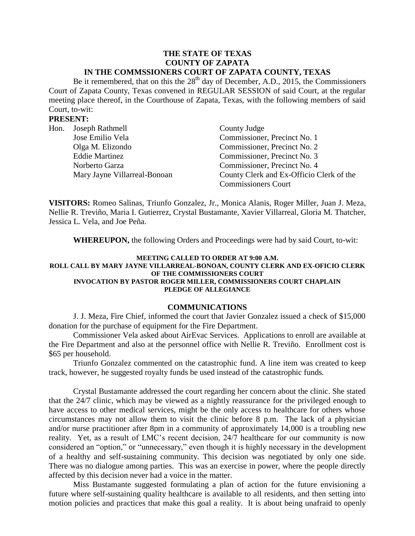#### **THE STATE OF TEXAS COUNTY OF ZAPATA IN THE COMMSSIONERS COURT OF ZAPATA COUNTY, TEXAS**

Be it remembered, that on this the  $28<sup>th</sup>$  day of December, A.D., 2015, the Commissioners Court of Zapata County, Texas convened in REGULAR SESSION of said Court, at the regular meeting place thereof, in the Courthouse of Zapata, Texas, with the following members of said Court, to-wit:

### **PRESENT:**

| Hon. Joseph Rathmell         | County Judge                             |
|------------------------------|------------------------------------------|
| Jose Emilio Vela             | Commissioner, Precinct No. 1             |
| Olga M. Elizondo             | Commissioner, Precinct No. 2             |
| <b>Eddie Martinez</b>        | Commissioner, Precinct No. 3             |
| Norberto Garza               | Commissioner, Precinct No. 4             |
| Mary Jayne Villarreal-Bonoan | County Clerk and Ex-Officio Clerk of the |
|                              | <b>Commissioners Court</b>               |

**VISITORS:** Romeo Salinas, Triunfo Gonzalez, Jr., Monica Alanis, Roger Miller, Juan J. Meza, Nellie R. Treviño, Maria I. Gutierrez, Crystal Bustamante, Xavier Villarreal, Gloria M. Thatcher, Jessica L. Vela, and Joe Peña.

**WHEREUPON,** the following Orders and Proceedings were had by said Court, to-wit:

#### **MEETING CALLED TO ORDER AT 9:00 A.M. ROLL CALL BY MARY JAYNE VILLARREAL-BONOAN, COUNTY CLERK AND EX-OFICIO CLERK OF THE COMMISSIONERS COURT INVOCATION BY PASTOR ROGER MILLER, COMMISSIONERS COURT CHAPLAIN PLEDGE OF ALLEGIANCE**

#### **COMMUNICATIONS**

J. J. Meza, Fire Chief, informed the court that Javier Gonzalez issued a check of \$15,000 donation for the purchase of equipment for the Fire Department.

Commissioner Vela asked about AirEvac Services. Applications to enroll are available at the Fire Department and also at the personnel office with Nellie R. Treviño. Enrollment cost is \$65 per household.

Triunfo Gonzalez commented on the catastrophic fund. A line item was created to keep track, however, he suggested royalty funds be used instead of the catastrophic funds.

Crystal Bustamante addressed the court regarding her concern about the clinic. She stated that the 24/7 clinic, which may be viewed as a nightly reassurance for the privileged enough to have access to other medical services, might be the only access to healthcare for others whose circumstances may not allow them to visit the clinic before 8 p.m. The lack of a physician and/or nurse practitioner after 8pm in a community of approximately 14,000 is a troubling new reality. Yet, as a result of LMC's recent decision, 24/7 healthcare for our community is now considered an "option," or "unnecessary," even though it is highly necessary in the development of a healthy and self-sustaining community. This decision was negotiated by only one side. There was no dialogue among parties. This was an exercise in power, where the people directly affected by this decision never had a voice in the matter.

Miss Bustamante suggested formulating a plan of action for the future envisioning a future where self-sustaining quality healthcare is available to all residents, and then setting into motion policies and practices that make this goal a reality. It is about being unafraid to openly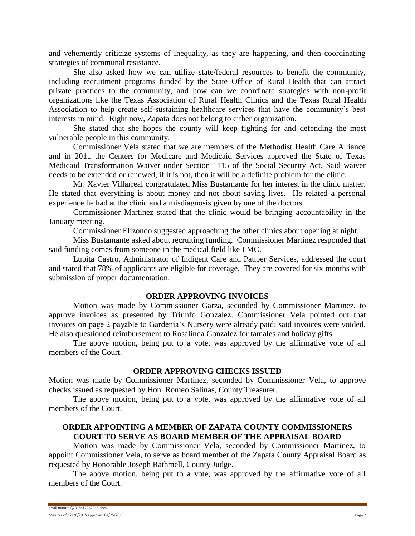and vehemently criticize systems of inequality, as they are happening, and then coordinating strategies of communal resistance.

She also asked how we can utilize state/federal resources to benefit the community, including recruitment programs funded by the State Office of Rural Health that can attract private practices to the community, and how can we coordinate strategies with non-profit organizations like the Texas Association of Rural Health Clinics and the Texas Rural Health Association to help create self-sustaining healthcare services that have the community's best interests in mind. Right now, Zapata does not belong to either organization.

She stated that she hopes the county will keep fighting for and defending the most vulnerable people in this community.

Commissioner Vela stated that we are members of the Methodist Health Care Alliance and in 2011 the Centers for Medicare and Medicaid Services approved the State of Texas Medicaid Transformation Waiver under Section 1115 of the Social Security Act. Said waiver needs to be extended or renewed, if it is not, then it will be a definite problem for the clinic.

Mr. Xavier Villarreal congratulated Miss Bustamante for her interest in the clinic matter. He stated that everything is about money and not about saving lives. He related a personal experience he had at the clinic and a misdiagnosis given by one of the doctors.

Commissioner Martinez stated that the clinic would be bringing accountability in the January meeting.

Commissioner Elizondo suggested approaching the other clinics about opening at night.

Miss Bustamante asked about recruiting funding. Commissioner Martinez responded that said funding comes from someone in the medical field like LMC.

Lupita Castro, Administrator of Indigent Care and Pauper Services, addressed the court and stated that 78% of applicants are eligible for coverage. They are covered for six months with submission of proper documentation.

# **ORDER APPROVING INVOICES**

Motion was made by Commissioner Garza, seconded by Commissioner Martinez, to approve invoices as presented by Triunfo Gonzalez. Commissioner Vela pointed out that invoices on page 2 payable to Gardenia's Nursery were already paid; said invoices were voided. He also questioned reimbursement to Rosalinda Gonzalez for tamales and holiday gifts.

The above motion, being put to a vote, was approved by the affirmative vote of all members of the Court.

# **ORDER APPROVING CHECKS ISSUED**

Motion was made by Commissioner Martinez, seconded by Commissioner Vela, to approve checks issued as requested by Hon. Romeo Salinas, County Treasurer.

The above motion, being put to a vote, was approved by the affirmative vote of all members of the Court.

# **ORDER APPOINTING A MEMBER OF ZAPATA COUNTY COMMISSIONERS COURT TO SERVE AS BOARD MEMBER OF THE APPRAISAL BOARD**

Motion was made by Commissioner Vela, seconded by Commissioner Martinez, to appoint Commissioner Vela, to serve as board member of the Zapata County Appraisal Board as requested by Honorable Joseph Rathmell, County Judge.

The above motion, being put to a vote, was approved by the affirmative vote of all members of the Court.